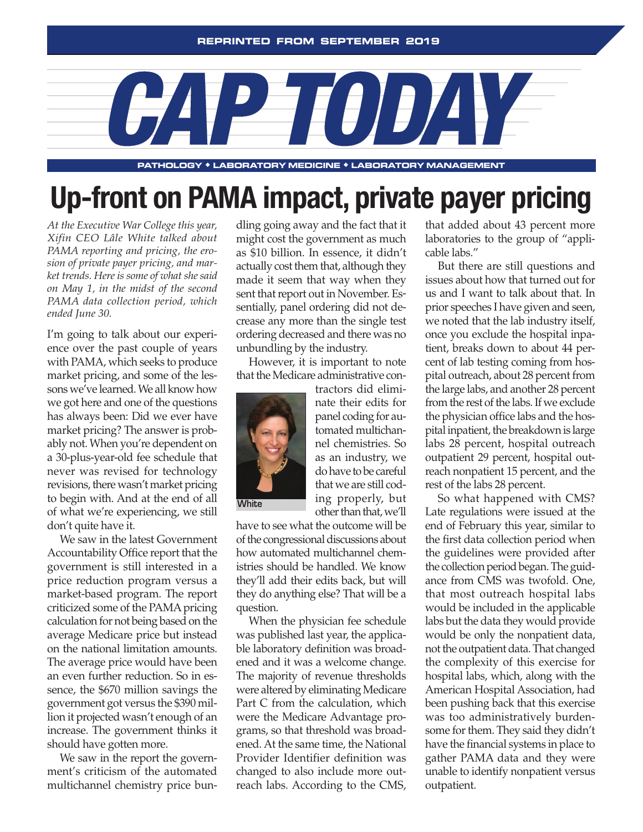

**pathology** ◆ **laboratory medicine** ◆ **laboratory management**

## **Up-front on PAMA impact, private payer pricing**

*At the Executive War College this year, Xifin CEO Lâle White talked about PAMA reporting and pricing, the erosion of private payer pricing, and market trends. Here is some of what she said on May 1, in the midst of the second PAMA data collection period, which ended June 30.*

I'm going to talk about our experience over the past couple of years with PAMA, which seeks to produce market pricing, and some of the lessons we've learned. We all know how we got here and one of the questions has always been: Did we ever have market pricing? The answer is probably not. When you're dependent on a 30-plus-year-old fee schedule that never was revised for technology revisions, there wasn't market pricing to begin with. And at the end of all of what we're experiencing, we still don't quite have it.

We saw in the latest Government Accountability Office report that the government is still interested in a price reduction program versus a market-based program. The report criticized some of the PAMA pricing calculation for not being based on the average Medicare price but instead on the national limitation amounts. The average price would have been an even further reduction. So in essence, the \$670 million savings the government got versus the \$390 million it projected wasn't enough of an increase. The government thinks it should have gotten more.

We saw in the report the government's criticism of the automated multichannel chemistry price bundling going away and the fact that it might cost the government as much as \$10 billion. In essence, it didn't actually cost them that, although they made it seem that way when they sent that report out in November. Essentially, panel ordering did not decrease any more than the single test ordering decreased and there was no unbundling by the industry.

However, it is important to note that the Medicare administrative con-



nate their edits for panel coding for automated multichannel chemistries. So as an industry, we do have to be careful that we are still coding properly, but other than that, we'll

tractors did elimi-

have to see what the outcome will be of the congressional discussions about how automated multichannel chemistries should be handled. We know they'll add their edits back, but will they do anything else? That will be a question.

When the physician fee schedule was published last year, the applicable laboratory definition was broadened and it was a welcome change. The majority of revenue thresholds were altered by eliminating Medicare Part C from the calculation, which were the Medicare Advantage programs, so that threshold was broadened. At the same time, the National Provider Identifier definition was changed to also include more outreach labs. According to the CMS,

that added about 43 percent more laboratories to the group of "applicable labs."

But there are still questions and issues about how that turned out for us and I want to talk about that. In prior speeches I have given and seen, we noted that the lab industry itself, once you exclude the hospital inpatient, breaks down to about 44 percent of lab testing coming from hospital outreach, about 28 percent from the large labs, and another 28 percent from the rest of the labs. If we exclude the physician office labs and the hospital inpatient, the breakdown is large labs 28 percent, hospital outreach outpatient 29 percent, hospital outreach nonpatient 15 percent, and the rest of the labs 28 percent.

So what happened with CMS? Late regulations were issued at the end of February this year, similar to the first data collection period when the guidelines were provided after the collection period began. The guidance from CMS was twofold. One, that most outreach hospital labs would be included in the applicable labs but the data they would provide would be only the nonpatient data, not the outpatient data. That changed the complexity of this exercise for hospital labs, which, along with the American Hospital Association, had been pushing back that this exercise was too administratively burdensome for them. They said they didn't have the financial systems in place to gather PAMA data and they were unable to identify nonpatient versus outpatient.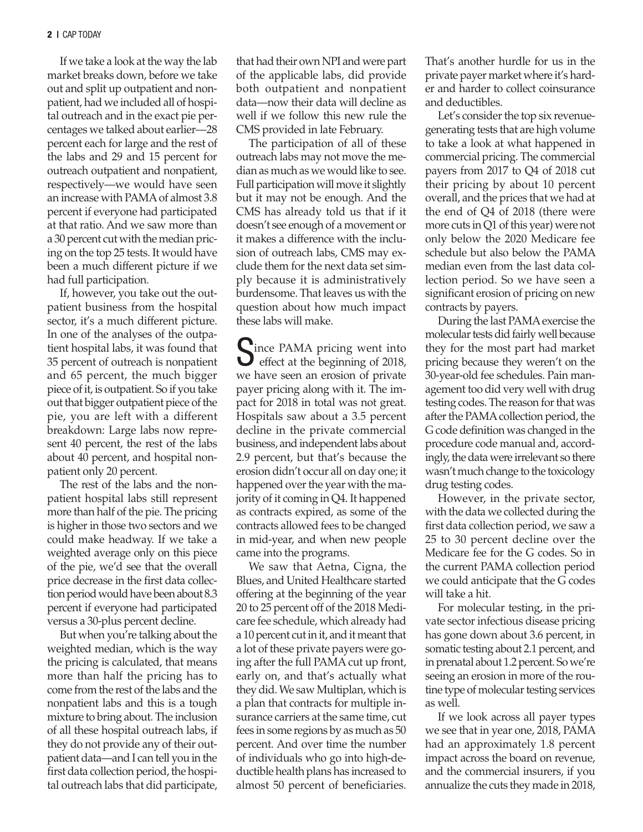If we take a look at the way the lab market breaks down, before we take out and split up outpatient and nonpatient, had we included all of hospital outreach and in the exact pie percentages we talked about earlier—28 percent each for large and the rest of the labs and 29 and 15 percent for outreach outpatient and nonpatient, respectively—we would have seen an increase with PAMA of almost 3.8 percent if everyone had participated at that ratio. And we saw more than a 30 percent cut with the median pricing on the top 25 tests. It would have been a much different picture if we had full participation.

If, however, you take out the outpatient business from the hospital sector, it's a much different picture. In one of the analyses of the outpatient hospital labs, it was found that 35 percent of outreach is nonpatient and 65 percent, the much bigger piece of it, is outpatient. So if you take out that bigger outpatient piece of the pie, you are left with a different breakdown: Large labs now represent 40 percent, the rest of the labs about 40 percent, and hospital nonpatient only 20 percent.

The rest of the labs and the nonpatient hospital labs still represent more than half of the pie. The pricing is higher in those two sectors and we could make headway. If we take a weighted average only on this piece of the pie, we'd see that the overall price decrease in the first data collection period would have been about 8.3 percent if everyone had participated versus a 30-plus percent decline.

But when you're talking about the weighted median, which is the way the pricing is calculated, that means more than half the pricing has to come from the rest of the labs and the nonpatient labs and this is a tough mixture to bring about. The inclusion of all these hospital outreach labs, if they do not provide any of their outpatient data—and I can tell you in the first data collection period, the hospital outreach labs that did participate, that had their own NPI and were part of the applicable labs, did provide both outpatient and nonpatient data—now their data will decline as well if we follow this new rule the CMS provided in late February.

The participation of all of these outreach labs may not move the median as much as we would like to see. Full participation will move it slightly but it may not be enough. And the CMS has already told us that if it doesn't see enough of a movement or it makes a difference with the inclusion of outreach labs, CMS may exclude them for the next data set simply because it is administratively burdensome. That leaves us with the question about how much impact these labs will make.

Cince PAMA pricing went into  $\bigcup$  effect at the beginning of 2018, we have seen an erosion of private payer pricing along with it. The impact for 2018 in total was not great. Hospitals saw about a 3.5 percent decline in the private commercial business, and independent labs about 2.9 percent, but that's because the erosion didn't occur all on day one; it happened over the year with the majority of it coming in Q4. It happened as contracts expired, as some of the contracts allowed fees to be changed in mid-year, and when new people came into the programs.

We saw that Aetna, Cigna, the Blues, and United Healthcare started offering at the beginning of the year 20 to 25 percent off of the 2018 Medicare fee schedule, which already had a 10 percent cut in it, and it meant that a lot of these private payers were going after the full PAMA cut up front, early on, and that's actually what they did. We saw Multiplan, which is a plan that contracts for multiple insurance carriers at the same time, cut fees in some regions by as much as 50 percent. And over time the number of individuals who go into high-deductible health plans has increased to almost 50 percent of beneficiaries.

That's another hurdle for us in the private payer market where it's harder and harder to collect coinsurance and deductibles.

Let's consider the top six revenuegenerating tests that are high volume to take a look at what happened in commercial pricing. The commercial payers from 2017 to Q4 of 2018 cut their pricing by about 10 percent overall, and the prices that we had at the end of Q4 of 2018 (there were more cuts in Q1 of this year) were not only below the 2020 Medicare fee schedule but also below the PAMA median even from the last data collection period. So we have seen a significant erosion of pricing on new contracts by payers.

During the last PAMA exercise the molecular tests did fairly well because they for the most part had market pricing because they weren't on the 30-year-old fee schedules. Pain management too did very well with drug testing codes. The reason for that was after the PAMA collection period, the G code definition was changed in the procedure code manual and, accordingly, the data were irrelevant so there wasn't much change to the toxicology drug testing codes.

However, in the private sector, with the data we collected during the first data collection period, we saw a 25 to 30 percent decline over the Medicare fee for the G codes. So in the current PAMA collection period we could anticipate that the G codes will take a hit.

For molecular testing, in the private sector infectious disease pricing has gone down about 3.6 percent, in somatic testing about 2.1 percent, and in prenatal about 1.2 percent. So we're seeing an erosion in more of the routine type of molecular testing services as well.

If we look across all payer types we see that in year one, 2018, PAMA had an approximately 1.8 percent impact across the board on revenue, and the commercial insurers, if you annualize the cuts they made in 2018,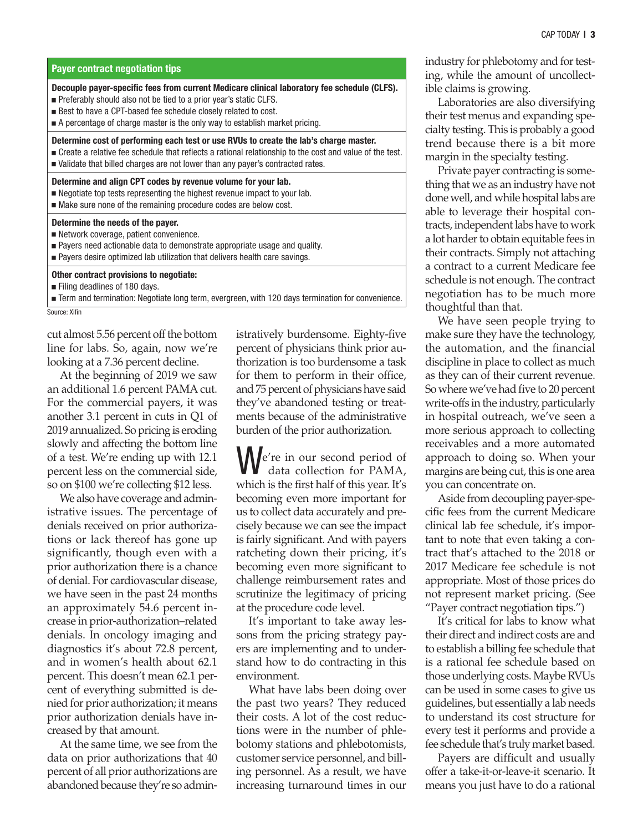| Payer contract negotiation tips                                                                                                                                                                                                                                                                                                     |
|-------------------------------------------------------------------------------------------------------------------------------------------------------------------------------------------------------------------------------------------------------------------------------------------------------------------------------------|
| Decouple payer-specific fees from current Medicare clinical laboratory fee schedule (CLFS).<br>■ Preferably should also not be tied to a prior year's static CLFS.<br>■ Best to have a CPT-based fee schedule closely related to cost.<br>$\blacksquare$ A percentage of charge master is the only way to establish market pricing. |
| Determine cost of performing each test or use RVUs to create the lab's charge master.<br>■ Create a relative fee schedule that reflects a rational relationship to the cost and value of the test.<br>■ Validate that billed charges are not lower than any payer's contracted rates.                                               |
| Determine and align CPT codes by revenue volume for your lab.<br>• Negotiate top tests representing the highest revenue impact to your lab.<br>• Make sure none of the remaining procedure codes are below cost.                                                                                                                    |
| Determine the needs of the payer.<br>Network coverage, patient convenience.<br><b>Payers need actionable data to demonstrate appropriate usage and quality.</b><br>■ Payers desire optimized lab utilization that delivers health care savings.                                                                                     |
| Other contract provisions to negotiate:<br>Filing deadlines of 180 days.<br><b>Frame</b> Term and termination: Negotiate long term, evergreen, with 120 days termination for convenience.<br>Source: Xifin                                                                                                                          |

cut almost 5.56 percent off the bottom line for labs. So, again, now we're looking at a 7.36 percent decline.

At the beginning of 2019 we saw an additional 1.6 percent PAMA cut. For the commercial payers, it was another 3.1 percent in cuts in Q1 of 2019 annualized. So pricing is eroding slowly and affecting the bottom line of a test. We're ending up with 12.1 percent less on the commercial side, so on \$100 we're collecting \$12 less.

We also have coverage and administrative issues. The percentage of denials received on prior authorizations or lack thereof has gone up significantly, though even with a prior authorization there is a chance of denial. For cardiovascular disease, we have seen in the past 24 months an approximately 54.6 percent increase in prior-authorization–related denials. In oncology imaging and diagnostics it's about 72.8 percent, and in women's health about 62.1 percent. This doesn't mean 62.1 percent of everything submitted is denied for prior authorization; it means prior authorization denials have increased by that amount.

At the same time, we see from the data on prior authorizations that 40 percent of all prior authorizations are abandoned because they're so admin-

istratively burdensome. Eighty-five percent of physicians think prior authorization is too burdensome a task for them to perform in their office, and 75 percent of physicians have said they've abandoned testing or treatments because of the administrative burden of the prior authorization.

We're in our second period of data collection for PAMA, which is the first half of this year. It's becoming even more important for us to collect data accurately and precisely because we can see the impact is fairly significant. And with payers ratcheting down their pricing, it's becoming even more significant to challenge reimbursement rates and scrutinize the legitimacy of pricing at the procedure code level.

It's important to take away lessons from the pricing strategy payers are implementing and to understand how to do contracting in this environment.

What have labs been doing over the past two years? They reduced their costs. A lot of the cost reductions were in the number of phlebotomy stations and phlebotomists, customer service personnel, and billing personnel. As a result, we have increasing turnaround times in our

industry for phlebotomy and for testing, while the amount of uncollectible claims is growing.

Laboratories are also diversifying their test menus and expanding specialty testing. This is probably a good trend because there is a bit more margin in the specialty testing.

Private payer contracting is something that we as an industry have not done well, and while hospital labs are able to leverage their hospital contracts, independent labs have to work a lot harder to obtain equitable fees in their contracts. Simply not attaching a contract to a current Medicare fee schedule is not enough. The contract negotiation has to be much more thoughtful than that.

We have seen people trying to make sure they have the technology, the automation, and the financial discipline in place to collect as much as they can of their current revenue. So where we've had five to 20 percent write-offs in the industry, particularly in hospital outreach, we've seen a more serious approach to collecting receivables and a more automated approach to doing so. When your margins are being cut, this is one area you can concentrate on.

Aside from decoupling payer-specific fees from the current Medicare clinical lab fee schedule, it's important to note that even taking a contract that's attached to the 2018 or 2017 Medicare fee schedule is not appropriate. Most of those prices do not represent market pricing. (See "Payer contract negotiation tips.")

It's critical for labs to know what their direct and indirect costs are and to establish a billing fee schedule that is a rational fee schedule based on those underlying costs. Maybe RVUs can be used in some cases to give us guidelines, but essentially a lab needs to understand its cost structure for every test it performs and provide a fee schedule that's truly market based.

Payers are difficult and usually offer a take-it-or-leave-it scenario. It means you just have to do a rational